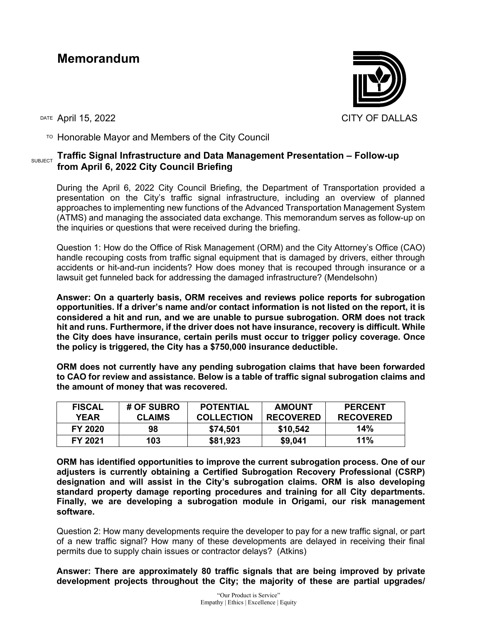## **Memorandum**



 $T$ <sup>O</sup> Honorable Mayor and Members of the City Council

## SUBJECT **Traffic Signal Infrastructure and Data Management Presentation – Follow-up from April 6, 2022 City Council Briefing**

During the April 6, 2022 City Council Briefing, the Department of Transportation provided a presentation on the City's traffic signal infrastructure, including an overview of planned approaches to implementing new functions of the Advanced Transportation Management System (ATMS) and managing the associated data exchange. This memorandum serves as follow-up on the inquiries or questions that were received during the briefing.

Question 1: How do the Office of Risk Management (ORM) and the City Attorney's Office (CAO) handle recouping costs from traffic signal equipment that is damaged by drivers, either through accidents or hit-and-run incidents? How does money that is recouped through insurance or a lawsuit get funneled back for addressing the damaged infrastructure? (Mendelsohn)

**Answer: On a quarterly basis, ORM receives and reviews police reports for subrogation opportunities. If a driver's name and/or contact information is not listed on the report, it is considered a hit and run, and we are unable to pursue subrogation. ORM does not track hit and runs. Furthermore, if the driver does not have insurance, recovery is difficult. While the City does have insurance, certain perils must occur to trigger policy coverage. Once the policy is triggered, the City has a \$750,000 insurance deductible.** 

**ORM does not currently have any pending subrogation claims that have been forwarded to CAO for review and assistance. Below is a table of traffic signal subrogation claims and the amount of money that was recovered.** 

| <b>FISCAL</b> | # OF SUBRO    | <b>POTENTIAL</b>  | <b>AMOUNT</b>    | <b>PERCENT</b>   |
|---------------|---------------|-------------------|------------------|------------------|
| <b>YEAR</b>   | <b>CLAIMS</b> | <b>COLLECTION</b> | <b>RECOVERED</b> | <b>RECOVERED</b> |
| FY 2020       | 98            | \$74,501          | \$10,542         | 14%              |
| FY 2021       | 103           | \$81,923          | \$9,041          | 11%              |

**ORM has identified opportunities to improve the current subrogation process. One of our adjusters is currently obtaining a Certified Subrogation Recovery Professional (CSRP) designation and will assist in the City's subrogation claims. ORM is also developing standard property damage reporting procedures and training for all City departments. Finally, we are developing a subrogation module in Origami, our risk management software.**

Question 2: How many developments require the developer to pay for a new traffic signal, or part of a new traffic signal? How many of these developments are delayed in receiving their final permits due to supply chain issues or contractor delays? (Atkins)

**Answer: There are approximately 80 traffic signals that are being improved by private development projects throughout the City; the majority of these are partial upgrades/**